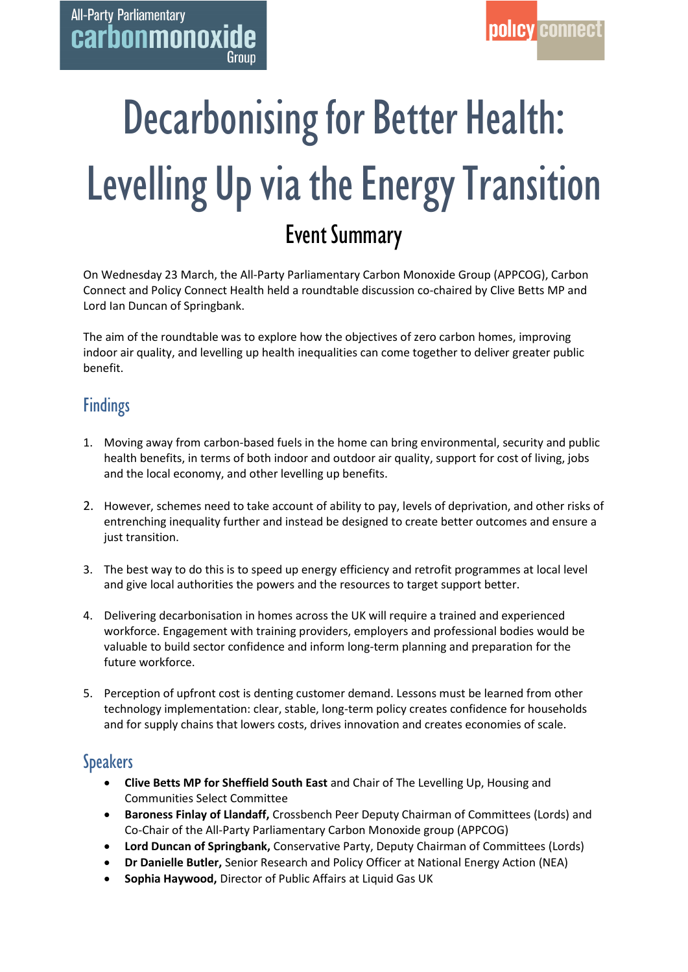# Decarbonising for Better Health: Levelling Up via the Energy Transition Event Summary

On Wednesday 23 March, the All-Party Parliamentary Carbon Monoxide Group (APPCOG), Carbon Connect and Policy Connect Health held a roundtable discussion co-chaired by Clive Betts MP and Lord Ian Duncan of Springbank.

The aim of the roundtable was to explore how the objectives of zero carbon homes, improving indoor air quality, and levelling up health inequalities can come together to deliver greater public benefit.

## **Findings**

- 1. Moving away from carbon-based fuels in the home can bring environmental, security and public health benefits, in terms of both indoor and outdoor air quality, support for cost of living, jobs and the local economy, and other levelling up benefits.
- 2. However, schemes need to take account of ability to pay, levels of deprivation, and other risks of entrenching inequality further and instead be designed to create better outcomes and ensure a just transition.
- 3. The best way to do this is to speed up energy efficiency and retrofit programmes at local level and give local authorities the powers and the resources to target support better.
- 4. Delivering decarbonisation in homes across the UK will require a trained and experienced workforce. Engagement with training providers, employers and professional bodies would be valuable to build sector confidence and inform long-term planning and preparation for the future workforce.
- 5. Perception of upfront cost is denting customer demand. Lessons must be learned from other technology implementation: clear, stable, long-term policy creates confidence for households and for supply chains that lowers costs, drives innovation and creates economies of scale.

## Speakers

- **Clive Betts MP for Sheffield South East** and Chair of The Levelling Up, Housing and Communities Select Committee
- **Baroness Finlay of Llandaff,** Crossbench Peer Deputy Chairman of Committees (Lords) and Co-Chair of the All-Party Parliamentary Carbon Monoxide group (APPCOG)
- **Lord Duncan of Springbank,** Conservative Party, Deputy Chairman of Committees (Lords)
- **Dr Danielle Butler,** Senior Research and Policy Officer at National Energy Action (NEA)
- **Sophia Haywood,** Director of Public Affairs at Liquid Gas UK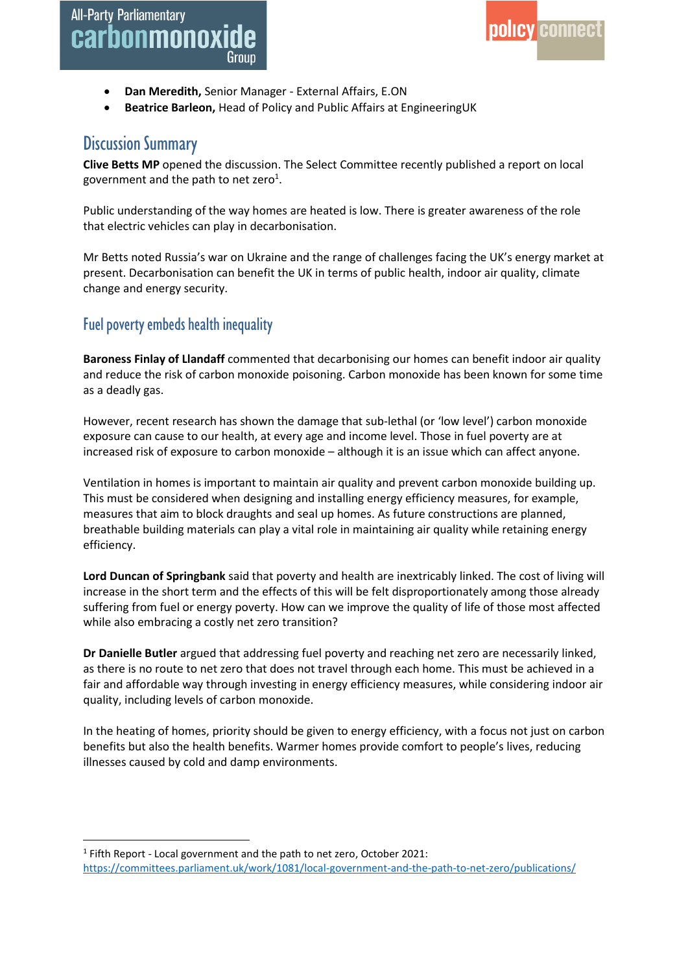- **Dan Meredith,** Senior Manager External Affairs, E.ON
- **Beatrice Barleon,** Head of Policy and Public Affairs at EngineeringUK

### Discussion Summary

**Clive Betts MP** opened the discussion. The Select Committee recently published a report on local government and the path to net zero<sup>1</sup>.

Public understanding of the way homes are heated is low. There is greater awareness of the role that electric vehicles can play in decarbonisation.

Mr Betts noted Russia's war on Ukraine and the range of challenges facing the UK's energy market at present. Decarbonisation can benefit the UK in terms of public health, indoor air quality, climate change and energy security.

#### Fuel poverty embeds health inequality

**Baroness Finlay of Llandaff** commented that decarbonising our homes can benefit indoor air quality and reduce the risk of carbon monoxide poisoning. Carbon monoxide has been known for some time as a deadly gas.

However, recent research has shown the damage that sub-lethal (or 'low level') carbon monoxide exposure can cause to our health, at every age and income level. Those in fuel poverty are at increased risk of exposure to carbon monoxide – although it is an issue which can affect anyone.

Ventilation in homes is important to maintain air quality and prevent carbon monoxide building up. This must be considered when designing and installing energy efficiency measures, for example, measures that aim to block draughts and seal up homes. As future constructions are planned, breathable building materials can play a vital role in maintaining air quality while retaining energy efficiency.

**Lord Duncan of Springbank** said that poverty and health are inextricably linked. The cost of living will increase in the short term and the effects of this will be felt disproportionately among those already suffering from fuel or energy poverty. How can we improve the quality of life of those most affected while also embracing a costly net zero transition?

**Dr Danielle Butler** argued that addressing fuel poverty and reaching net zero are necessarily linked, as there is no route to net zero that does not travel through each home. This must be achieved in a fair and affordable way through investing in energy efficiency measures, while considering indoor air quality, including levels of carbon monoxide.

In the heating of homes, priority should be given to energy efficiency, with a focus not just on carbon benefits but also the health benefits. Warmer homes provide comfort to people's lives, reducing illnesses caused by cold and damp environments.

<sup>&</sup>lt;sup>1</sup> Fifth Report - Local government and the path to net zero, October 2021: <https://committees.parliament.uk/work/1081/local-government-and-the-path-to-net-zero/publications/>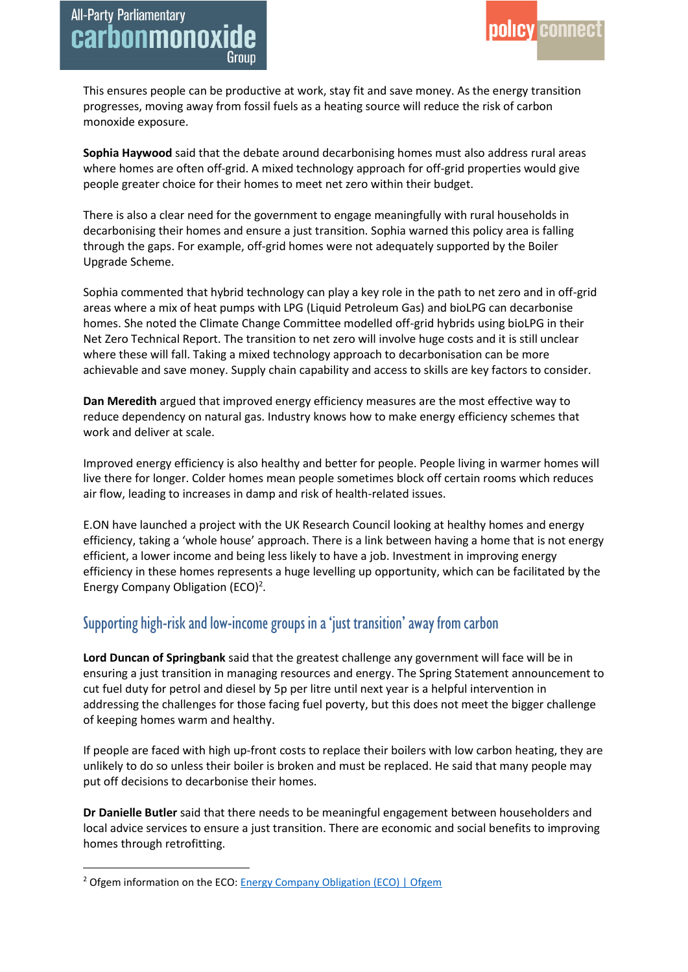This ensures people can be productive at work, stay fit and save money. As the energy transition progresses, moving away from fossil fuels as a heating source will reduce the risk of carbon monoxide exposure.

**Sophia Haywood** said that the debate around decarbonising homes must also address rural areas where homes are often off-grid. A mixed technology approach for off-grid properties would give people greater choice for their homes to meet net zero within their budget.

There is also a clear need for the government to engage meaningfully with rural households in decarbonising their homes and ensure a just transition. Sophia warned this policy area is falling through the gaps. For example, off-grid homes were not adequately supported by the Boiler Upgrade Scheme.

Sophia commented that hybrid technology can play a key role in the path to net zero and in off-grid areas where a mix of heat pumps with LPG (Liquid Petroleum Gas) and bioLPG can decarbonise homes. She noted the Climate Change Committee modelled off-grid hybrids using bioLPG in their Net Zero Technical Report. The transition to net zero will involve huge costs and it is still unclear where these will fall. Taking a mixed technology approach to decarbonisation can be more achievable and save money. Supply chain capability and access to skills are key factors to consider.

**Dan Meredith** argued that improved energy efficiency measures are the most effective way to reduce dependency on natural gas. Industry knows how to make energy efficiency schemes that work and deliver at scale.

Improved energy efficiency is also healthy and better for people. People living in warmer homes will live there for longer. Colder homes mean people sometimes block off certain rooms which reduces air flow, leading to increases in damp and risk of health-related issues.

E.ON have launched a project with the UK Research Council looking at healthy homes and energy efficiency, taking a 'whole house' approach. There is a link between having a home that is not energy efficient, a lower income and being less likely to have a job. Investment in improving energy efficiency in these homes represents a huge levelling up opportunity, which can be facilitated by the Energy Company Obligation (ECO)<sup>2</sup>.

#### Supporting high-risk and low-incomegroups in a 'just transition'away from carbon

**Lord Duncan of Springbank** said that the greatest challenge any government will face will be in ensuring a just transition in managing resources and energy. The Spring Statement announcement to cut fuel duty for petrol and diesel by 5p per litre until next year is a helpful intervention in addressing the challenges for those facing fuel poverty, but this does not meet the bigger challenge of keeping homes warm and healthy.

If people are faced with high up-front costs to replace their boilers with low carbon heating, they are unlikely to do so unless their boiler is broken and must be replaced. He said that many people may put off decisions to decarbonise their homes.

**Dr Danielle Butler** said that there needs to be meaningful engagement between householders and local advice services to ensure a just transition. There are economic and social benefits to improving homes through retrofitting.

<sup>&</sup>lt;sup>2</sup> Ofgem information on the ECO: [Energy Company Obligation \(ECO\) | Ofgem](https://www.ofgem.gov.uk/environmental-and-social-schemes/energy-company-obligation-eco)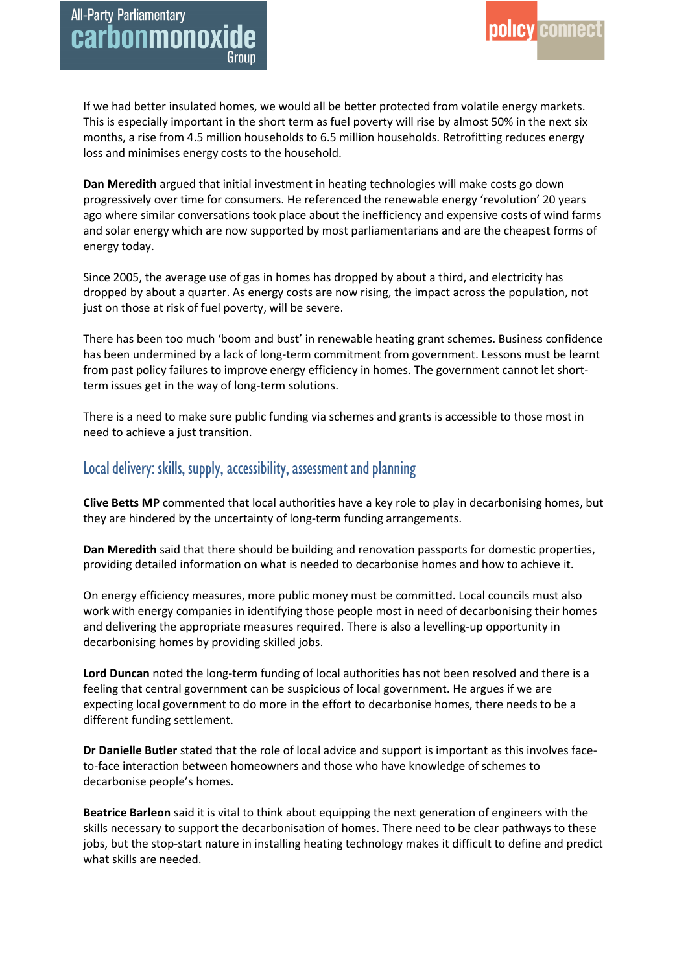If we had better insulated homes, we would all be better protected from volatile energy markets. This is especially important in the short term as fuel poverty will rise by almost 50% in the next six months, a rise from 4.5 million households to 6.5 million households. Retrofitting reduces energy loss and minimises energy costs to the household.

**Dan Meredith** argued that initial investment in heating technologies will make costs go down progressively over time for consumers. He referenced the renewable energy 'revolution' 20 years ago where similar conversations took place about the inefficiency and expensive costs of wind farms and solar energy which are now supported by most parliamentarians and are the cheapest forms of energy today.

Since 2005, the average use of gas in homes has dropped by about a third, and electricity has dropped by about a quarter. As energy costs are now rising, the impact across the population, not just on those at risk of fuel poverty, will be severe.

There has been too much 'boom and bust' in renewable heating grant schemes. Business confidence has been undermined by a lack of long-term commitment from government. Lessons must be learnt from past policy failures to improve energy efficiency in homes. The government cannot let shortterm issues get in the way of long-term solutions.

There is a need to make sure public funding via schemes and grants is accessible to those most in need to achieve a just transition.

#### Local delivery: skills, supply, accessibility, assessment and planning

**Clive Betts MP** commented that local authorities have a key role to play in decarbonising homes, but they are hindered by the uncertainty of long-term funding arrangements.

**Dan Meredith** said that there should be building and renovation passports for domestic properties, providing detailed information on what is needed to decarbonise homes and how to achieve it.

On energy efficiency measures, more public money must be committed. Local councils must also work with energy companies in identifying those people most in need of decarbonising their homes and delivering the appropriate measures required. There is also a levelling-up opportunity in decarbonising homes by providing skilled jobs.

**Lord Duncan** noted the long-term funding of local authorities has not been resolved and there is a feeling that central government can be suspicious of local government. He argues if we are expecting local government to do more in the effort to decarbonise homes, there needs to be a different funding settlement.

**Dr Danielle Butler** stated that the role of local advice and support is important as this involves faceto-face interaction between homeowners and those who have knowledge of schemes to decarbonise people's homes.

**Beatrice Barleon** said it is vital to think about equipping the next generation of engineers with the skills necessary to support the decarbonisation of homes. There need to be clear pathways to these jobs, but the stop-start nature in installing heating technology makes it difficult to define and predict what skills are needed.